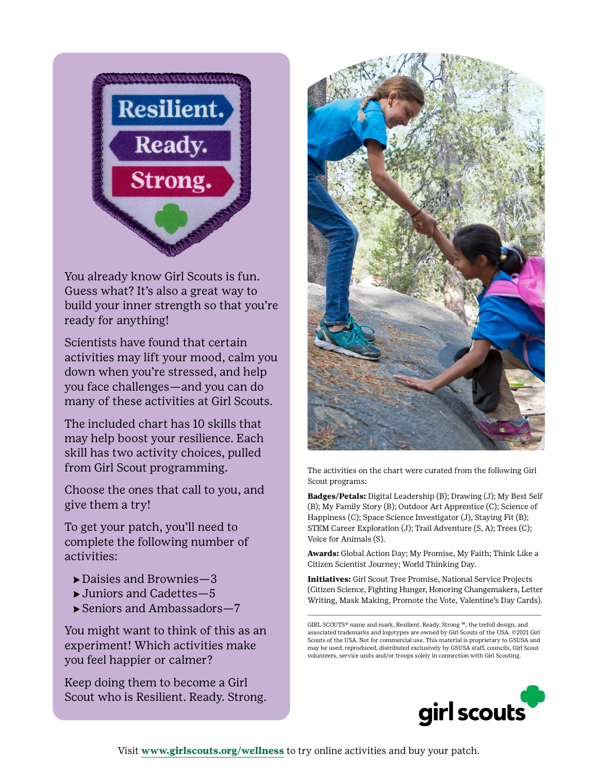

You already know Girl Scouts is fun. Guess what? It's also a great way to build your inner strength so that you're ready for anything!

Scientists have found that certain activities may lift your mood, calm you down when you're stressed, and help you face challenges—and you can do many of these activities at Girl Scouts.

The included chart has 10 skills that may help boost your resilience. Each skill has two activity choices, pulled from Girl Scout programming.

Choose the ones that call to you, and give them a try!

To get your patch, you'll need to complete the following number of activities:

- ⇨ Daisies and Brownies—3
- ⇨ Juniors and Cadettes—5
- ⇨ Seniors and Ambassadors—7

You might want to think of this as an experiment! Which activities make you feel happier or calmer?

Keep doing them to become a Girl Scout who is Resilient. Ready. Strong.



The activities on the chart were curated from the following Girl Scout programs:

**Badges/Petals:** Digital Leadership (B); Drawing (J); My Best Self (B); My Family Story (B); Outdoor Art Apprentice (C); Science of Happiness (C); Space Science Investigator (J), Staying Fit (B); STEM Career Exploration (J); Trail Adventure (S, A); Trees (C); Voice for Animals (S).

**Awards:** Global Action Day; My Promise, My Faith; Think Like a Citizen Scientist Journey; World Thinking Day.

**Initiatives:** Girl Scout Tree Promise, National Service Projects (Citizen Science, Fighting Hunger, Honoring Changemakers, Letter Writing, Mask Making, Promote the Vote, Valentine's Day Cards).

\_\_\_\_\_\_\_\_\_\_\_\_\_\_\_\_\_\_\_\_\_\_\_\_\_\_\_\_\_\_\_\_\_\_\_\_\_\_\_\_\_\_\_\_\_\_\_\_\_\_\_\_\_\_\_\_\_\_\_\_\_\_\_\_\_\_\_\_\_\_\_\_\_\_\_\_\_\_\_\_



GIRL SCOUTS® name and mark, Resilient. Ready. Strong ™, the trefoil design, and associated trademarks and logotypes are owned by Girl Scouts of the USA. ©2021 Girl Scouts of the USA. Not for commercial use. This material is proprietary to GSUSA and may be used, reproduced, distributed exclusively by GSUSA staff, councils, Girl Scout volunteers, service units and/or troops solely in connection with Girl Scouting.